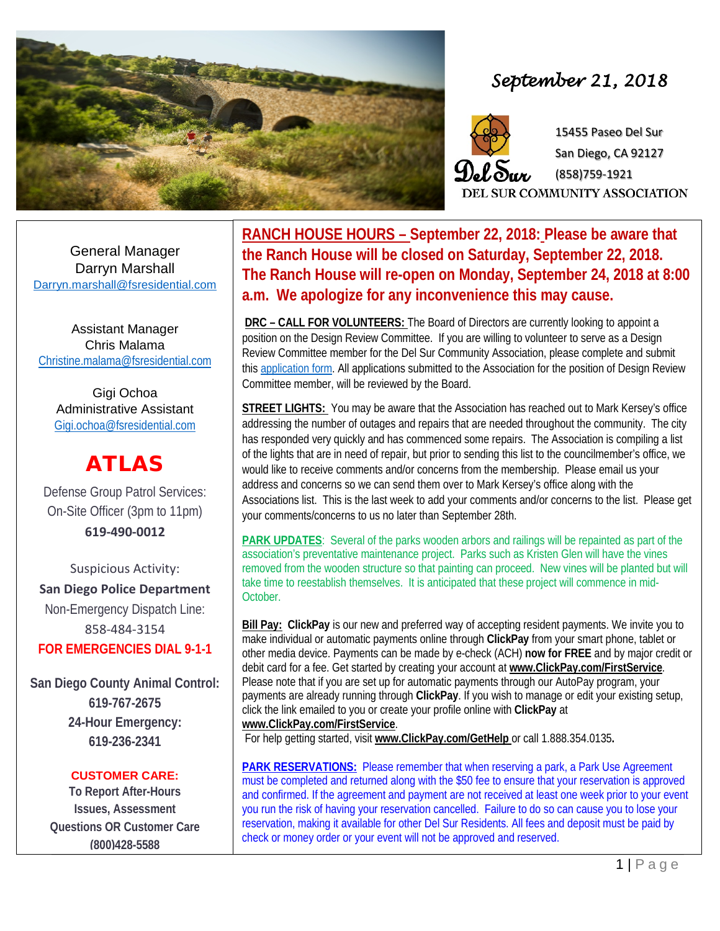

## *September 21, 2018*



15455 Paseo Del Sur San Diego, CA 92127 (858)759-1921 **SUR COMMUNITY ASSOCIATION** 

General Manager Darryn Marshall [Darryn.marshall@fsresidential.com](mailto:Darryn.marshall@fsresidential.com)

Assistant Manager Chris Malama [Christine.malama@fsresidential.com](mailto:Christine.malama@fsresidential.com)

Gigi Ochoa Administrative Assistant [Gigi.ochoa@fsresidential.com](mailto:Gigi.ochoa@fsresidential.com)

# ATLAS

Defense Group Patrol Services: On-Site Officer (3pm to 11pm) **619-490-0012**

Suspicious Activity: **San Diego Police Department** Non-Emergency Dispatch Line: 858-484-3154 **FOR EMERGENCIES DIAL 9-1-1**

**San Diego County Animal Control: 619-767-2675 24-Hour Emergency: 619-236-2341**

#### **CUSTOMER CARE:**

**To Report After-Hours Issues, Assessment Questions OR Customer Care (800)428-5588**

**DEL SURFATION COMPUTE COMMUNITY IS ON A SHALL AND MOTION SEPTEMBER 24, SEPTEMBER 24, a.m.** We apologize for any inconvenience this may cause. **RANCH HOUSE HOURS – September 22, 2018: Please be aware that the Ranch House will be closed on Saturday, September 22, 2018. The Ranch House will re-open on Monday, September 24, 2018 at 8:00** 

> **DRC – CALL FOR VOLUNTEERS:** The Board of Directors are currently looking to appoint a position on the Design Review Committee. If you are willing to volunteer to serve as a Design Review Committee member for the Del Sur Community Association, please complete and submit this application form. All applications submitted to the Association for the position of Design Review Committee member, will be reviewed by the Board.

> **STREET LIGHTS:** You may be aware that the Association has reached out to Mark Kersey's office addressing the number of outages and repairs that are needed throughout the community. The city has responded very quickly and has commenced some repairs. The Association is compiling a list of the lights that are in need of repair, but prior to sending this list to the councilmember's office, we would like to receive comments and/or concerns from the membership. Please email us your address and concerns so we can send them over to Mark Kersey's office along with the Associations list. This is the last week to add your comments and/or concerns to the list. Please get your comments/concerns to us no later than September 28th.

> **PARK UPDATES**: Several of the parks wooden arbors and railings will be repainted as part of the association's preventative maintenance project. Parks such as Kristen Glen will have the vines removed from the wooden structure so that painting can proceed. New vines will be planted but will take time to reestablish themselves. It is anticipated that these project will commence in mid-October.

**Bill Pay: ClickPay** is our new and preferred way of accepting resident payments. We invite you to make individual or automatic payments online through **ClickPay** from your smart phone, tablet or other media device. Payments can be made by e-check (ACH) **now for FREE** and by major credit or debit card for a fee. Get started by creating your account at **[www.ClickPay.com/FirstService](http://www.clickpay.com/FirstService)***.* Please note that if you are set up for automatic payments through our AutoPay program, your payments are already running through **ClickPay**. If you wish to manage or edit your existing setup, click the link emailed to you or create your profile online with **ClickPay** at **[www.ClickPay.com/FirstService](http://www.clickpay.com/FirstService)**.

For help getting started, visit **[www.ClickPay.com/GetHelp](http://www.clickpay.com/GetHelp)** or call 1.888.354.0135**.**

**PARK RESERVATIONS:** Please remember that when reserving a park, a Park Use Agreement must be completed and returned along with the \$50 fee to ensure that your reservation is approved and confirmed. If the agreement and payment are not received at least one week prior to your event you run the risk of having your reservation cancelled. Failure to do so can cause you to lose your reservation, making it available for other Del Sur Residents. All fees and deposit must be paid by check or money order or your event will not be approved and reserved.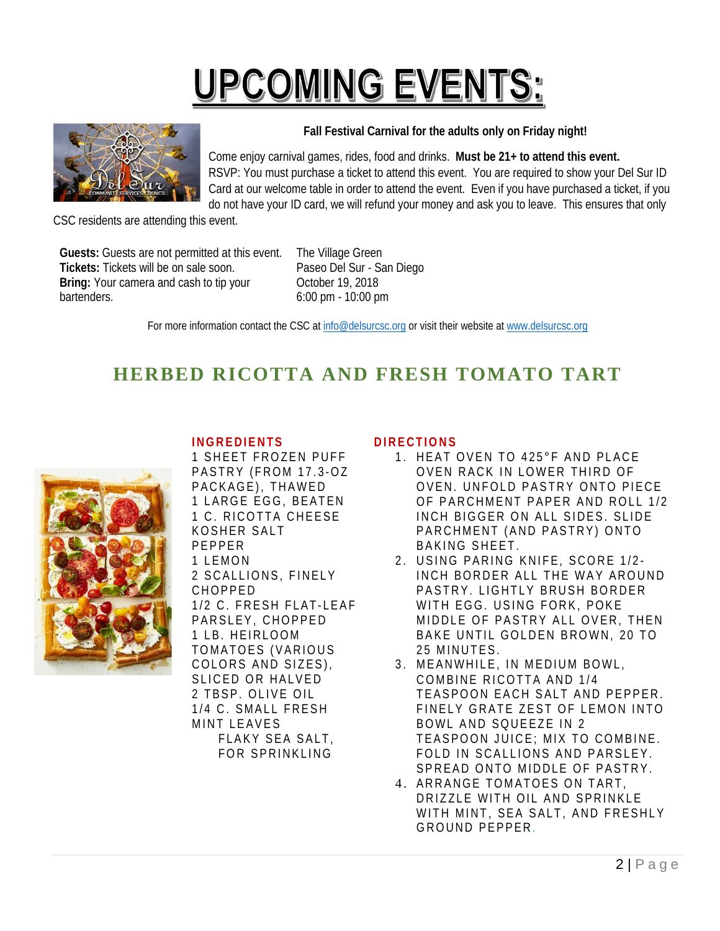# **UPCOMING EVENTS:**



**Fall Festival Carnival for the adults only on Friday night!**

Come enjoy carnival games, rides, food and drinks. **Must be 21+ to attend this event.** RSVP: You must purchase a ticket to attend this event. You are required to show your Del Sur ID Card at our welcome table in order to attend the event. Even if you have purchased a ticket, if you do not have your ID card, we will refund your money and ask you to leave. This ensures that only

CSC residents are attending this event.

**Guests:** Guests are not permitted at this event. **Tickets:** Tickets will be on sale soon. **Bring:** Your camera and cash to tip your bartenders.

The Village Green Paseo Del Sur - San Diego October 19, 2018 6:00 pm - 10:00 pm

For more information contact the CSC at [info@delsurcsc.org](mailto:info@delsurcsc.org) or visit their website at [www.delsurcsc.org](http://www.delsurcsc.org/)

### **HERBED RICOTTA AND FRESH TOMATO TART**

#### **INGREDIENTS**



1 SHEET FROZEN PUFF PASTRY (FROM 17.3 -OZ PACKAGE), THAWED 1 LARGE EGG, BEATEN 1 C. RICOTTA CHEESE KOSHER SALT PEPPER 1 LEMON 2 SCALLIONS, FINELY CHOPPED 1/2 C. FRESH FLAT-LEAF PARSLEY, CHOPPED 1 LB. HEIRLOOM TOMATOES (VARIOUS COLORS AND SIZES), SLICED OR HALVED 2 TBSP. OLIVE OIL 1/4 C. SMALL FRESH MINT LEAVES FLAKY SEA SALT, FOR SPRINKLING

#### **DIRECTIONS**

- 1 . HEAT OVEN TO 425°F AND PLACE OVEN RACK IN LOWER THIRD OF OVEN. UNFOLD PASTRY ONTO PIECE OF PARCHMENT PAPER AND ROLL 1/2 INCH BIGGER ON ALL SIDES. SLIDE PARCHMENT (AND PASTRY) ONTO BAKING SHEET.
- 2. USING PARING KNIFE, SCORE 1/2-INCH BORDER ALL THE WAY AROUND PASTRY. LIGHTLY BRUSH BORDER WITH EGG. USING FORK, POKE MIDDLE OF PASTRY ALL OVER, THEN BAKE UNTIL GOLDEN BROWN, 20 TO 25 MINUTES.
- 3 . MEANWHILE, IN MEDIUM BOWL, COMBINE RICOTTA AND 1/4 TEASPOON EACH SALT AND PEPPER. FINELY GRATE ZEST OF LEMON INTO BOWL AND SQUEEZE IN 2 TEASPOON JUICE; MIX TO COMBINE. FOLD IN SCALLIONS AND PARSLEY. SPREAD ONTO MIDDLE OF PASTRY.
- 4 . ARRANGE TOMATOES ON TART, DRIZZLE WITH OIL AND SPRINKLE WITH MINT, SEA SALT, AND FRESHLY GROUND PEPPER.